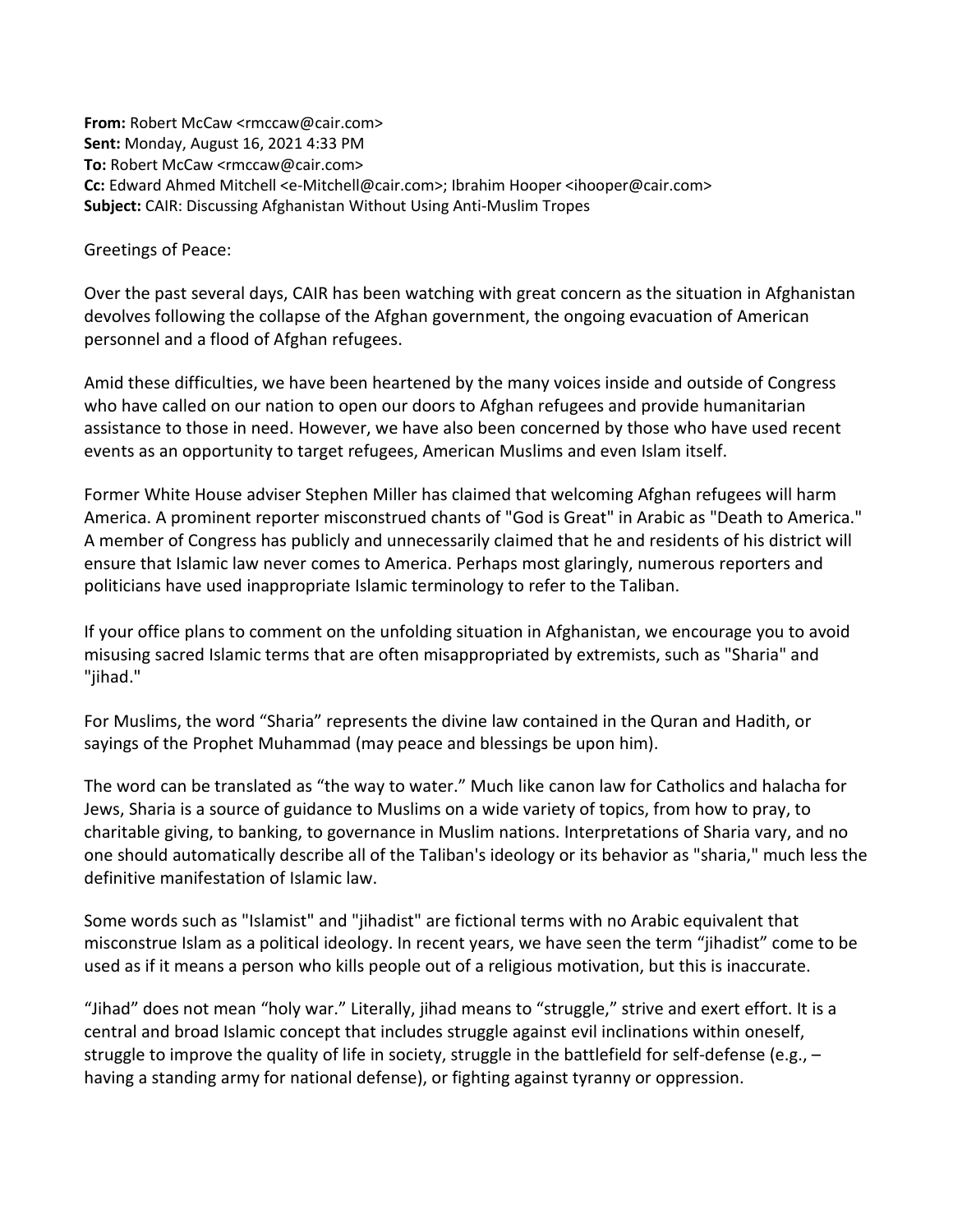**From:** Robert McCaw <rmccaw@cair.com> **Sent:** Monday, August 16, 2021 4:33 PM **To:** Robert McCaw <rmccaw@cair.com> **Cc:** Edward Ahmed Mitchell <e-Mitchell@cair.com>; Ibrahim Hooper <ihooper@cair.com> **Subject:** CAIR: Discussing Afghanistan Without Using Anti-Muslim Tropes

Greetings of Peace:

Over the past several days, CAIR has been watching with great concern as the situation in Afghanistan devolves following the collapse of the Afghan government, the ongoing evacuation of American personnel and a flood of Afghan refugees.

Amid these difficulties, we have been heartened by the many voices inside and outside of Congress who have called on our nation to open our doors to Afghan refugees and provide humanitarian assistance to those in need. However, we have also been concerned by those who have used recent events as an opportunity to target refugees, American Muslims and even Islam itself.

Former White House adviser Stephen Miller has claimed that welcoming Afghan refugees will harm America. A prominent reporter misconstrued chants of "God is Great" in Arabic as "Death to America." A member of Congress has publicly and unnecessarily claimed that he and residents of his district will ensure that Islamic law never comes to America. Perhaps most glaringly, numerous reporters and politicians have used inappropriate Islamic terminology to refer to the Taliban.

If your office plans to comment on the unfolding situation in Afghanistan, we encourage you to avoid misusing sacred Islamic terms that are often misappropriated by extremists, such as "Sharia" and "jihad."

For Muslims, the word "Sharia" represents the divine law contained in the Quran and Hadith, or sayings of the Prophet Muhammad (may peace and blessings be upon him).

The word can be translated as "the way to water." Much like canon law for Catholics and halacha for Jews, Sharia is a source of guidance to Muslims on a wide variety of topics, from how to pray, to charitable giving, to banking, to governance in Muslim nations. Interpretations of Sharia vary, and no one should automatically describe all of the Taliban's ideology or its behavior as "sharia," much less the definitive manifestation of Islamic law.

Some words such as "Islamist" and "jihadist" are fictional terms with no Arabic equivalent that misconstrue Islam as a political ideology. In recent years, we have seen the term "jihadist" come to be used as if it means a person who kills people out of a religious motivation, but this is inaccurate.

"Jihad" does not mean "holy war." Literally, jihad means to "struggle," strive and exert effort. It is a central and broad Islamic concept that includes struggle against evil inclinations within oneself, struggle to improve the quality of life in society, struggle in the battlefield for self-defense (e.g.,  $$ having a standing army for national defense), or fighting against tyranny or oppression.